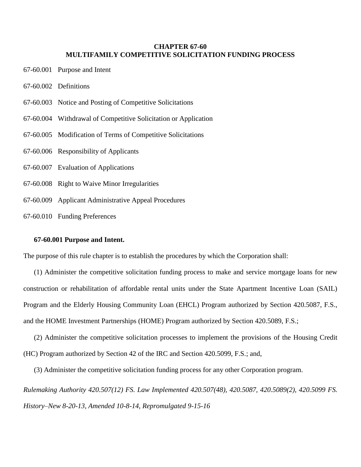# **CHAPTER 67-60 MULTIFAMILY COMPETITIVE SOLICITATION FUNDING PROCESS**

- 67-60.001 Purpose and Intent
- 67-60.002 Definitions
- 67-60.003 Notice and Posting of Competitive Solicitations
- 67-60.004 Withdrawal of Competitive Solicitation or Application
- 67-60.005 Modification of Terms of Competitive Solicitations
- 67-60.006 Responsibility of Applicants
- 67-60.007 Evaluation of Applications
- 67-60.008 Right to Waive Minor Irregularities
- 67-60.009 Applicant Administrative Appeal Procedures
- 67-60.010 Funding Preferences

# **67-60.001 Purpose and Intent.**

The purpose of this rule chapter is to establish the procedures by which the Corporation shall:

(1) Administer the competitive solicitation funding process to make and service mortgage loans for new construction or rehabilitation of affordable rental units under the State Apartment Incentive Loan (SAIL) Program and the Elderly Housing Community Loan (EHCL) Program authorized by Section 420.5087, F.S., and the HOME Investment Partnerships (HOME) Program authorized by Section 420.5089, F.S.;

(2) Administer the competitive solicitation processes to implement the provisions of the Housing Credit (HC) Program authorized by Section 42 of the IRC and Section 420.5099, F.S.; and,

(3) Administer the competitive solicitation funding process for any other Corporation program.

*Rulemaking Authority 420.507(12) FS. Law Implemented 420.507(48), 420.5087, 420.5089(2), 420.5099 FS. History–New 8-20-13, Amended 10-8-14, Repromulgated 9-15-16*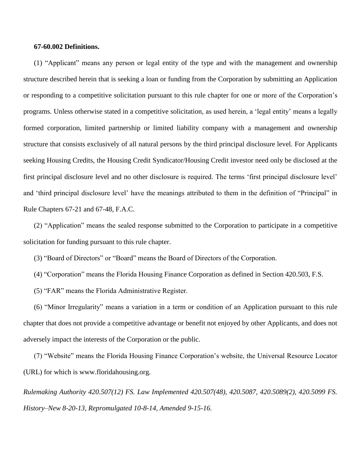## **67-60.002 Definitions.**

(1) "Applicant" means any person or legal entity of the type and with the management and ownership structure described herein that is seeking a loan or funding from the Corporation by submitting an Application or responding to a competitive solicitation pursuant to this rule chapter for one or more of the Corporation's programs. Unless otherwise stated in a competitive solicitation, as used herein, a 'legal entity' means a legally formed corporation, limited partnership or limited liability company with a management and ownership structure that consists exclusively of all natural persons by the third principal disclosure level. For Applicants seeking Housing Credits, the Housing Credit Syndicator/Housing Credit investor need only be disclosed at the first principal disclosure level and no other disclosure is required. The terms 'first principal disclosure level' and 'third principal disclosure level' have the meanings attributed to them in the definition of "Principal" in Rule Chapters 67-21 and 67-48, F.A.C.

(2) "Application" means the sealed response submitted to the Corporation to participate in a competitive solicitation for funding pursuant to this rule chapter.

(3) "Board of Directors" or "Board" means the Board of Directors of the Corporation.

- (4) "Corporation" means the Florida Housing Finance Corporation as defined in Section 420.503, F.S.
- (5) "FAR" means the Florida Administrative Register.

(6) "Minor Irregularity" means a variation in a term or condition of an Application pursuant to this rule chapter that does not provide a competitive advantage or benefit not enjoyed by other Applicants, and does not adversely impact the interests of the Corporation or the public.

(7) "Website" means the Florida Housing Finance Corporation's website, the Universal Resource Locator (URL) for which is [www.floridahousing.org.](http://www.floridahousing.org/)

*Rulemaking Authority 420.507(12) FS. Law Implemented 420.507(48), 420.5087, 420.5089(2), 420.5099 FS. History–New 8-20-13, Repromulgated 10-8-14, Amended 9-15-16.*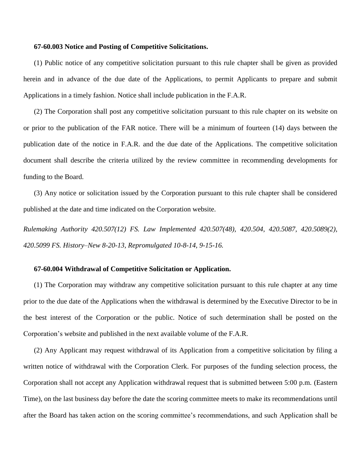## **67-60.003 Notice and Posting of Competitive Solicitations.**

(1) Public notice of any competitive solicitation pursuant to this rule chapter shall be given as provided herein and in advance of the due date of the Applications, to permit Applicants to prepare and submit Applications in a timely fashion. Notice shall include publication in the F.A.R.

(2) The Corporation shall post any competitive solicitation pursuant to this rule chapter on its website on or prior to the publication of the FAR notice. There will be a minimum of fourteen (14) days between the publication date of the notice in F.A.R. and the due date of the Applications. The competitive solicitation document shall describe the criteria utilized by the review committee in recommending developments for funding to the Board.

(3) Any notice or solicitation issued by the Corporation pursuant to this rule chapter shall be considered published at the date and time indicated on the Corporation website.

*Rulemaking Authority 420.507(12) FS. Law Implemented 420.507(48), 420.504, 420.5087, 420.5089(2), 420.5099 FS. History–New 8-20-13, Repromulgated 10-8-14, 9-15-16.*

## **67-60.004 Withdrawal of Competitive Solicitation or Application.**

(1) The Corporation may withdraw any competitive solicitation pursuant to this rule chapter at any time prior to the due date of the Applications when the withdrawal is determined by the Executive Director to be in the best interest of the Corporation or the public. Notice of such determination shall be posted on the Corporation's website and published in the next available volume of the F.A.R.

(2) Any Applicant may request withdrawal of its Application from a competitive solicitation by filing a written notice of withdrawal with the Corporation Clerk. For purposes of the funding selection process, the Corporation shall not accept any Application withdrawal request that is submitted between 5:00 p.m. (Eastern Time), on the last business day before the date the scoring committee meets to make its recommendations until after the Board has taken action on the scoring committee's recommendations, and such Application shall be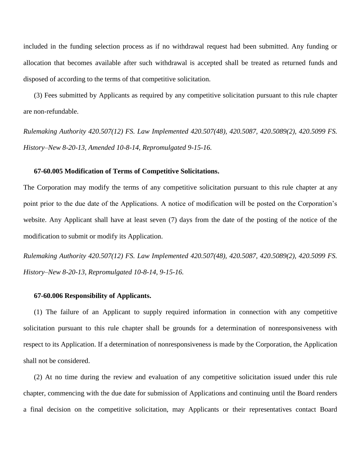included in the funding selection process as if no withdrawal request had been submitted. Any funding or allocation that becomes available after such withdrawal is accepted shall be treated as returned funds and disposed of according to the terms of that competitive solicitation.

(3) Fees submitted by Applicants as required by any competitive solicitation pursuant to this rule chapter are non-refundable.

*Rulemaking Authority 420.507(12) FS. Law Implemented 420.507(48), 420.5087, 420.5089(2), 420.5099 FS. History–New 8-20-13, Amended 10-8-14, Repromulgated 9-15-16.*

#### **67-60.005 Modification of Terms of Competitive Solicitations.**

The Corporation may modify the terms of any competitive solicitation pursuant to this rule chapter at any point prior to the due date of the Applications. A notice of modification will be posted on the Corporation's website. Any Applicant shall have at least seven (7) days from the date of the posting of the notice of the modification to submit or modify its Application.

*Rulemaking Authority 420.507(12) FS. Law Implemented 420.507(48), 420.5087, 420.5089(2), 420.5099 FS. History–New 8-20-13, Repromulgated 10-8-14, 9-15-16.*

## **67-60.006 Responsibility of Applicants.**

(1) The failure of an Applicant to supply required information in connection with any competitive solicitation pursuant to this rule chapter shall be grounds for a determination of nonresponsiveness with respect to its Application. If a determination of nonresponsiveness is made by the Corporation, the Application shall not be considered.

(2) At no time during the review and evaluation of any competitive solicitation issued under this rule chapter, commencing with the due date for submission of Applications and continuing until the Board renders a final decision on the competitive solicitation, may Applicants or their representatives contact Board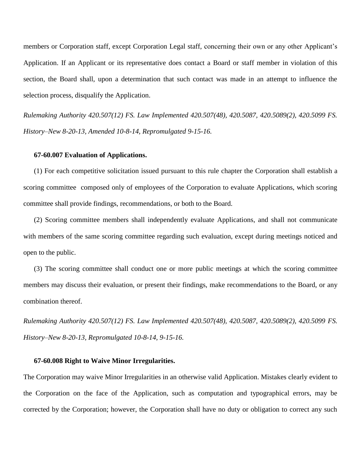members or Corporation staff, except Corporation Legal staff, concerning their own or any other Applicant's Application. If an Applicant or its representative does contact a Board or staff member in violation of this section, the Board shall, upon a determination that such contact was made in an attempt to influence the selection process, disqualify the Application.

*Rulemaking Authority 420.507(12) FS. Law Implemented 420.507(48), 420.5087, 420.5089(2), 420.5099 FS. History–New 8-20-13, Amended 10-8-14, Repromulgated 9-15-16.*

#### **67-60.007 Evaluation of Applications.**

(1) For each competitive solicitation issued pursuant to this rule chapter the Corporation shall establish a scoring committee composed only of employees of the Corporation to evaluate Applications, which scoring committee shall provide findings, recommendations, or both to the Board.

(2) Scoring committee members shall independently evaluate Applications, and shall not communicate with members of the same scoring committee regarding such evaluation, except during meetings noticed and open to the public.

(3) The scoring committee shall conduct one or more public meetings at which the scoring committee members may discuss their evaluation, or present their findings, make recommendations to the Board, or any combination thereof.

*Rulemaking Authority 420.507(12) FS. Law Implemented 420.507(48), 420.5087, 420.5089(2), 420.5099 FS. History–New 8-20-13, Repromulgated 10-8-14, 9-15-16.*

#### **67-60.008 Right to Waive Minor Irregularities.**

The Corporation may waive Minor Irregularities in an otherwise valid Application. Mistakes clearly evident to the Corporation on the face of the Application, such as computation and typographical errors, may be corrected by the Corporation; however, the Corporation shall have no duty or obligation to correct any such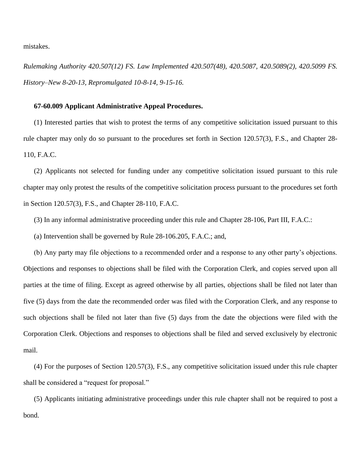mistakes.

*Rulemaking Authority 420.507(12) FS. Law Implemented 420.507(48), 420.5087, 420.5089(2), 420.5099 FS. History–New 8-20-13, Repromulgated 10-8-14, 9-15-16.*

#### **67-60.009 Applicant Administrative Appeal Procedures.**

(1) Interested parties that wish to protest the terms of any competitive solicitation issued pursuant to this rule chapter may only do so pursuant to the procedures set forth in Section 120.57(3), F.S., and Chapter 28- 110, F.A.C.

(2) Applicants not selected for funding under any competitive solicitation issued pursuant to this rule chapter may only protest the results of the competitive solicitation process pursuant to the procedures set forth in Section 120.57(3), F.S., and Chapter 28-110, F.A.C.

(3) In any informal administrative proceeding under this rule and Chapter 28-106, Part III, F.A.C.:

(a) Intervention shall be governed by Rule 28-106.205, F.A.C.; and,

(b) Any party may file objections to a recommended order and a response to any other party's objections. Objections and responses to objections shall be filed with the Corporation Clerk, and copies served upon all parties at the time of filing. Except as agreed otherwise by all parties, objections shall be filed not later than five (5) days from the date the recommended order was filed with the Corporation Clerk, and any response to such objections shall be filed not later than five (5) days from the date the objections were filed with the Corporation Clerk. Objections and responses to objections shall be filed and served exclusively by electronic mail.

(4) For the purposes of Section 120.57(3), F.S., any competitive solicitation issued under this rule chapter shall be considered a "request for proposal."

(5) Applicants initiating administrative proceedings under this rule chapter shall not be required to post a bond.